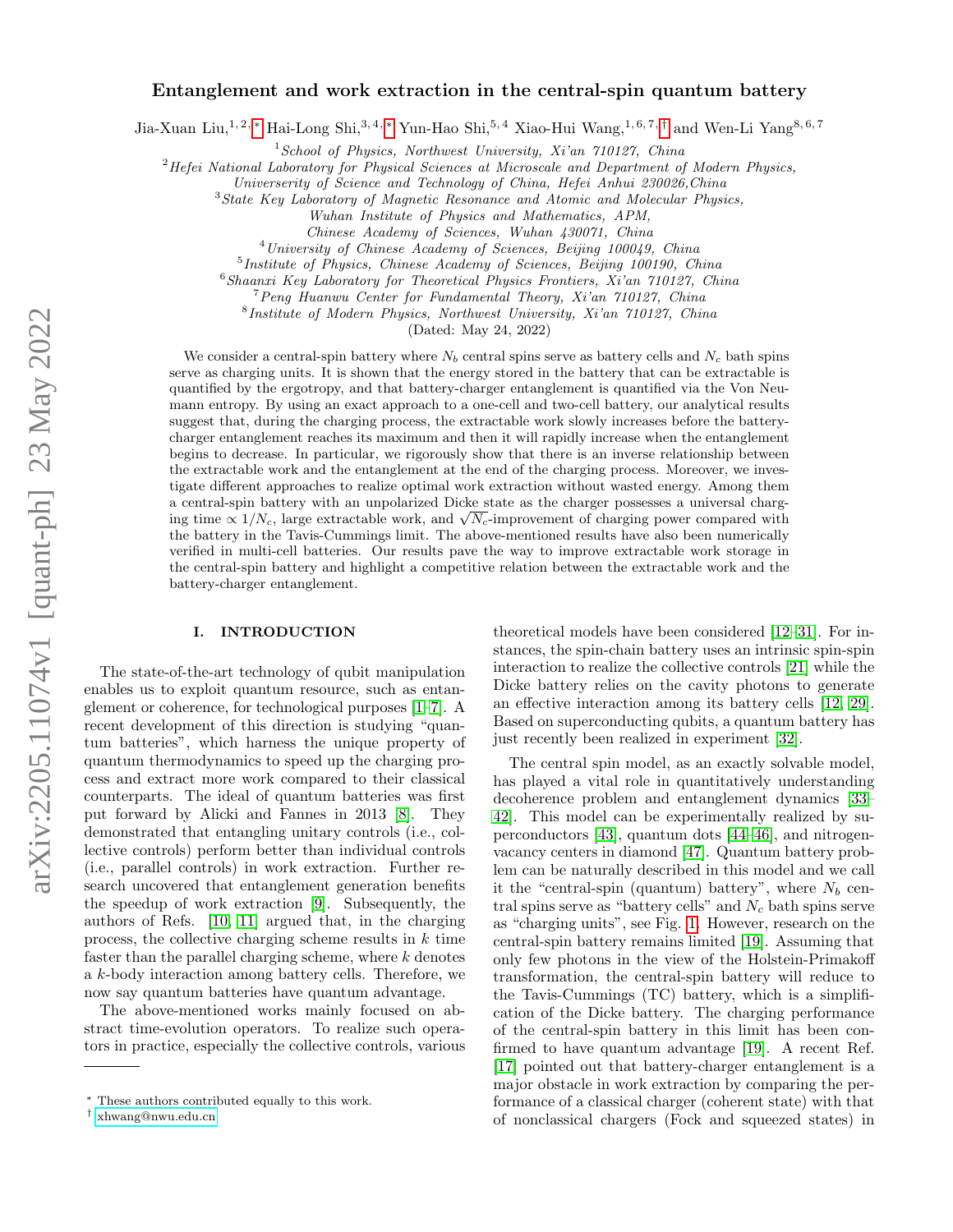# Entanglement and work extraction in the central-spin quantum battery

Jia-Xuan Liu,1, 2, [∗](#page-0-0) Hai-Long Shi,3, 4, [∗](#page-0-0) Yun-Hao Shi,5, 4 Xiao-Hui Wang,1, 6, 7, [†](#page-0-1) and Wen-Li Yang8, 6, 7

 $1$ School of Physics, Northwest University, Xi'an  $710127$ , China

 ${}^{2}$ Hefei National Laboratory for Physical Sciences at Microscale and Department of Modern Physics,

Universerity of Science and Technology of China, Hefei Anhui 230026,China

<sup>3</sup>State Key Laboratory of Magnetic Resonance and Atomic and Molecular Physics,

Wuhan Institute of Physics and Mathematics, APM,

Chinese Academy of Sciences, Wuhan 430071, China

<sup>4</sup>University of Chinese Academy of Sciences, Beijing 100049, China

<sup>5</sup>Institute of Physics, Chinese Academy of Sciences, Beijing 100190, China

 $6$ Shaanxi Key Laboratory for Theoretical Physics Frontiers, Xi'an 710127, China

<sup>7</sup>Peng Huanwu Center for Fundamental Theory, Xi'an 710127, China

8 Institute of Modern Physics, Northwest University, Xi'an 710127, China

(Dated: May 24, 2022)

We consider a central-spin battery where  $N_b$  central spins serve as battery cells and  $N_c$  bath spins serve as charging units. It is shown that the energy stored in the battery that can be extractable is quantified by the ergotropy, and that battery-charger entanglement is quantified via the Von Neumann entropy. By using an exact approach to a one-cell and two-cell battery, our analytical results suggest that, during the charging process, the extractable work slowly increases before the batterycharger entanglement reaches its maximum and then it will rapidly increase when the entanglement begins to decrease. In particular, we rigorously show that there is an inverse relationship between the extractable work and the entanglement at the end of the charging process. Moreover, we investigate different approaches to realize optimal work extraction without wasted energy. Among them a central-spin battery with an unpolarized Dicke state as the charger possesses a universal charga central-spin battery with an unpolarized Dicke state as the charger possesses a universal charging time  $\propto 1/N_c$ , large extractable work, and  $\sqrt{N_c}$ -improvement of charging power compared with the battery in the Tavis-Cummings limit. The above-mentioned results have also been numerically verified in multi-cell batteries. Our results pave the way to improve extractable work storage in the central-spin battery and highlight a competitive relation between the extractable work and the battery-charger entanglement.

### I. INTRODUCTION

The state-of-the-art technology of qubit manipulation enables us to exploit quantum resource, such as entanglement or coherence, for technological purposes [\[1–](#page-6-0)[7\]](#page-6-1). A recent development of this direction is studying "quantum batteries", which harness the unique property of quantum thermodynamics to speed up the charging process and extract more work compared to their classical counterparts. The ideal of quantum batteries was first put forward by Alicki and Fannes in 2013 [\[8\]](#page-6-2). They demonstrated that entangling unitary controls (i.e., collective controls) perform better than individual controls (i.e., parallel controls) in work extraction. Further research uncovered that entanglement generation benefits the speedup of work extraction [\[9\]](#page-6-3). Subsequently, the authors of Refs. [\[10,](#page-7-0) [11\]](#page-7-1) argued that, in the charging process, the collective charging scheme results in  $k$  time faster than the parallel charging scheme, where  $k$  denotes a k-body interaction among battery cells. Therefore, we now say quantum batteries have quantum advantage.

The above-mentioned works mainly focused on abstract time-evolution operators. To realize such operators in practice, especially the collective controls, various

theoretical models have been considered [\[12–](#page-7-2)[31\]](#page-7-3). For instances, the spin-chain battery uses an intrinsic spin-spin interaction to realize the collective controls [\[21\]](#page-7-4) while the Dicke battery relies on the cavity photons to generate an effective interaction among its battery cells [\[12,](#page-7-2) [29\]](#page-7-5). Based on superconducting qubits, a quantum battery has just recently been realized in experiment [\[32\]](#page-7-6).

The central spin model, as an exactly solvable model, has played a vital role in quantitatively understanding decoherence problem and entanglement dynamics [\[33–](#page-7-7) [42\]](#page-7-8). This model can be experimentally realized by superconductors [\[43\]](#page-7-9), quantum dots [\[44–](#page-7-10)[46\]](#page-7-11), and nitrogenvacancy centers in diamond [\[47\]](#page-7-12). Quantum battery problem can be naturally described in this model and we call it the "central-spin (quantum) battery", where  $N_b$  central spins serve as "battery cells" and  $N_c$  bath spins serve as "charging units", see Fig. [1.](#page-1-0) However, research on the central-spin battery remains limited [\[19\]](#page-7-13). Assuming that only few photons in the view of the Holstein-Primakoff transformation, the central-spin battery will reduce to the Tavis-Cummings (TC) battery, which is a simplification of the Dicke battery. The charging performance of the central-spin battery in this limit has been confirmed to have quantum advantage [\[19\]](#page-7-13). A recent Ref. [\[17\]](#page-7-14) pointed out that battery-charger entanglement is a major obstacle in work extraction by comparing the performance of a classical charger (coherent state) with that of nonclassical chargers (Fock and squeezed states) in

<span id="page-0-0"></span><sup>∗</sup> These authors contributed equally to this work.

<span id="page-0-1"></span><sup>†</sup> [xhwang@nwu.edu.cn](mailto:xhwang@nwu.edu.cn)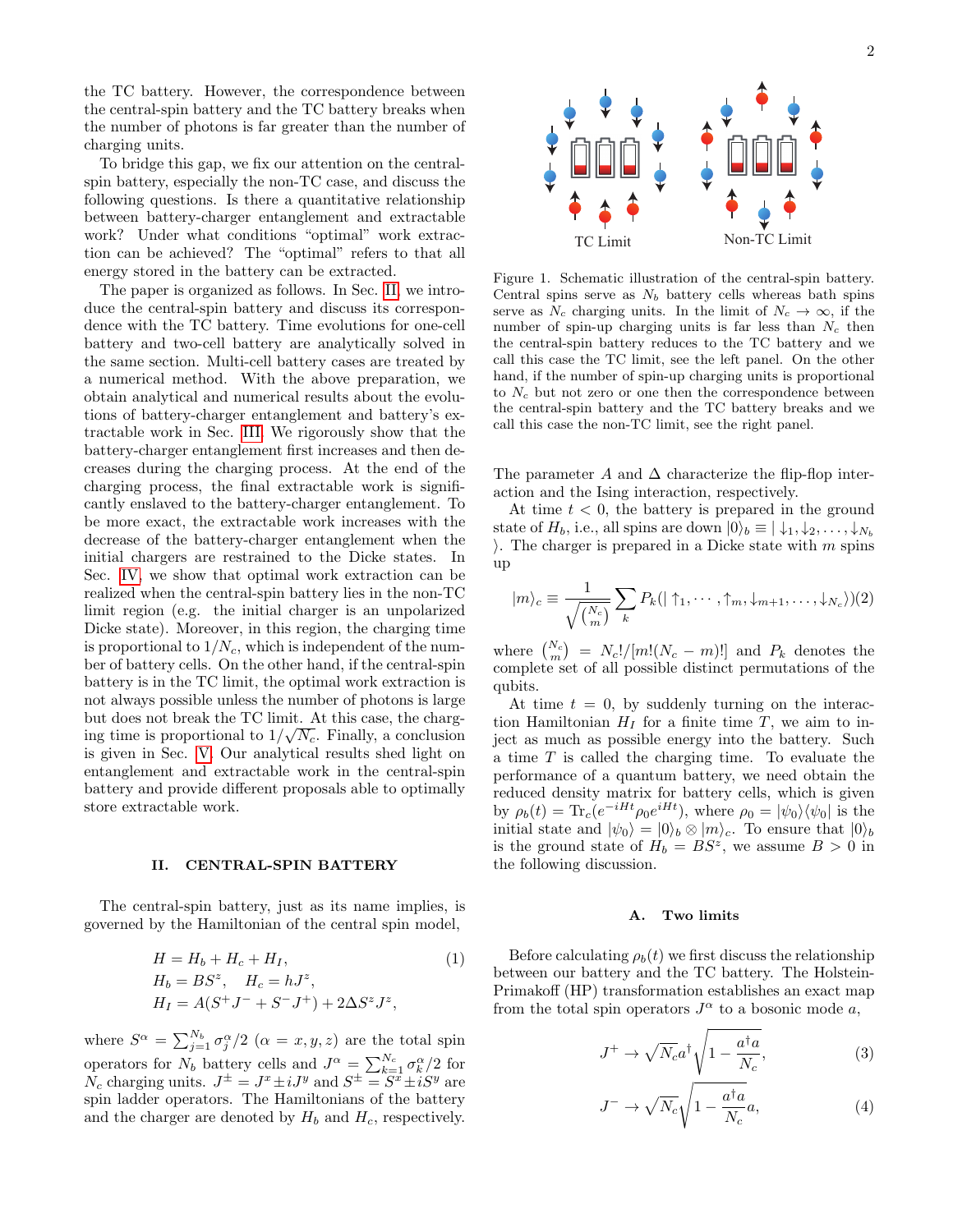the TC battery. However, the correspondence between the central-spin battery and the TC battery breaks when the number of photons is far greater than the number of charging units.

To bridge this gap, we fix our attention on the centralspin battery, especially the non-TC case, and discuss the following questions. Is there a quantitative relationship between battery-charger entanglement and extractable work? Under what conditions "optimal" work extraction can be achieved? The "optimal" refers to that all energy stored in the battery can be extracted.

The paper is organized as follows. In Sec. [II,](#page-1-1) we introduce the central-spin battery and discuss its correspondence with the TC battery. Time evolutions for one-cell battery and two-cell battery are analytically solved in the same section. Multi-cell battery cases are treated by a numerical method. With the above preparation, we obtain analytical and numerical results about the evolutions of battery-charger entanglement and battery's extractable work in Sec. [III.](#page-3-0) We rigorously show that the battery-charger entanglement first increases and then decreases during the charging process. At the end of the charging process, the final extractable work is significantly enslaved to the battery-charger entanglement. To be more exact, the extractable work increases with the decrease of the battery-charger entanglement when the initial chargers are restrained to the Dicke states. In Sec. [IV,](#page-4-0) we show that optimal work extraction can be realized when the central-spin battery lies in the non-TC limit region (e.g. the initial charger is an unpolarized Dicke state). Moreover, in this region, the charging time is proportional to  $1/N_c$ , which is independent of the number of battery cells. On the other hand, if the central-spin battery is in the TC limit, the optimal work extraction is not always possible unless the number of photons is large but does not break the TC limit. At this case, the charging time is proportional to  $1/\sqrt{N_c}$ . Finally, a conclusion is given in Sec. [V.](#page-6-4) Our analytical results shed light on entanglement and extractable work in the central-spin battery and provide different proposals able to optimally store extractable work.

#### <span id="page-1-1"></span>II. CENTRAL-SPIN BATTERY

The central-spin battery, just as its name implies, is governed by the Hamiltonian of the central spin model,

<span id="page-1-2"></span>
$$
H = H_b + H_c + H_I,
$$
  
\n
$$
H_b = BS^z, \quad H_c = hJ^z,
$$
  
\n
$$
H_I = A(S^+J^- + S^-J^+) + 2\Delta S^z J^z,
$$
\n(1)

where  $S^{\alpha} = \sum_{j=1}^{N_b} \sigma_j^{\alpha}/2$   $(\alpha = x, y, z)$  are the total spin operators for  $N_b$  battery cells and  $J^{\alpha} = \sum_{k=1}^{N_c} \sigma_k^{\alpha}/2$  for  $N_c$  charging units.  $J^{\pm} = J^x \pm iJ^y$  and  $S^{\pm} = S^x \pm iS^y$  are spin ladder operators. The Hamiltonians of the battery and the charger are denoted by  $H_b$  and  $H_c$ , respectively.



<span id="page-1-0"></span>Figure 1. Schematic illustration of the central-spin battery. Central spins serve as  $N_b$  battery cells whereas bath spins serve as  $N_c$  charging units. In the limit of  $N_c \to \infty$ , if the number of spin-up charging units is far less than  $N_c$  then the central-spin battery reduces to the TC battery and we call this case the TC limit, see the left panel. On the other hand, if the number of spin-up charging units is proportional to  $N_c$  but not zero or one then the correspondence between the central-spin battery and the TC battery breaks and we call this case the non-TC limit, see the right panel.

The parameter A and  $\Delta$  characterize the flip-flop interaction and the Ising interaction, respectively.

At time  $t < 0$ , the battery is prepared in the ground state of  $H_b$ , i.e., all spins are down  $|0\rangle_b \equiv |\downarrow_1, \downarrow_2, \ldots, \downarrow_{N_b}$ ). The charger is prepared in a Dicke state with  $m$  spins up

<span id="page-1-4"></span>
$$
|m\rangle_c \equiv \frac{1}{\sqrt{\binom{N_c}{m}}} \sum_k P_k(|\uparrow_1, \cdots, \uparrow_m, \downarrow_{m+1}, \ldots, \downarrow_{N_c}\rangle)(2)
$$

where  $\binom{N_c}{m} = N_c!/[m!(N_c - m)!]$  and  $P_k$  denotes the complete set of all possible distinct permutations of the qubits.

At time  $t = 0$ , by suddenly turning on the interaction Hamiltonian  $H_I$  for a finite time T, we aim to inject as much as possible energy into the battery. Such a time T is called the charging time. To evaluate the performance of a quantum battery, we need obtain the reduced density matrix for battery cells, which is given by  $\rho_b(t) = \text{Tr}_c(e^{-iHt}\rho_0 e^{iHt})$ , where  $\rho_0 = |\psi_0\rangle \langle \psi_0|$  is the initial state and  $|\psi_0\rangle = |0\rangle_b \otimes |m\rangle_c$ . To ensure that  $|0\rangle_b$ is the ground state of  $H_b = BS^z$ , we assume  $B > 0$  in the following discussion.

#### A. Two limits

Before calculating  $\rho_b(t)$  we first discuss the relationship between our battery and the TC battery. The Holstein-Primakoff (HP) transformation establishes an exact map from the total spin operators  $J^{\alpha}$  to a bosonic mode a,

<span id="page-1-3"></span>
$$
J^{+} \to \sqrt{N_c} a^{\dagger} \sqrt{1 - \frac{a^{\dagger} a}{N_c}},
$$
\n(3)

$$
J^{-} \to \sqrt{N_c} \sqrt{1 - \frac{a^{\dagger} a}{N_c}} a,\tag{4}
$$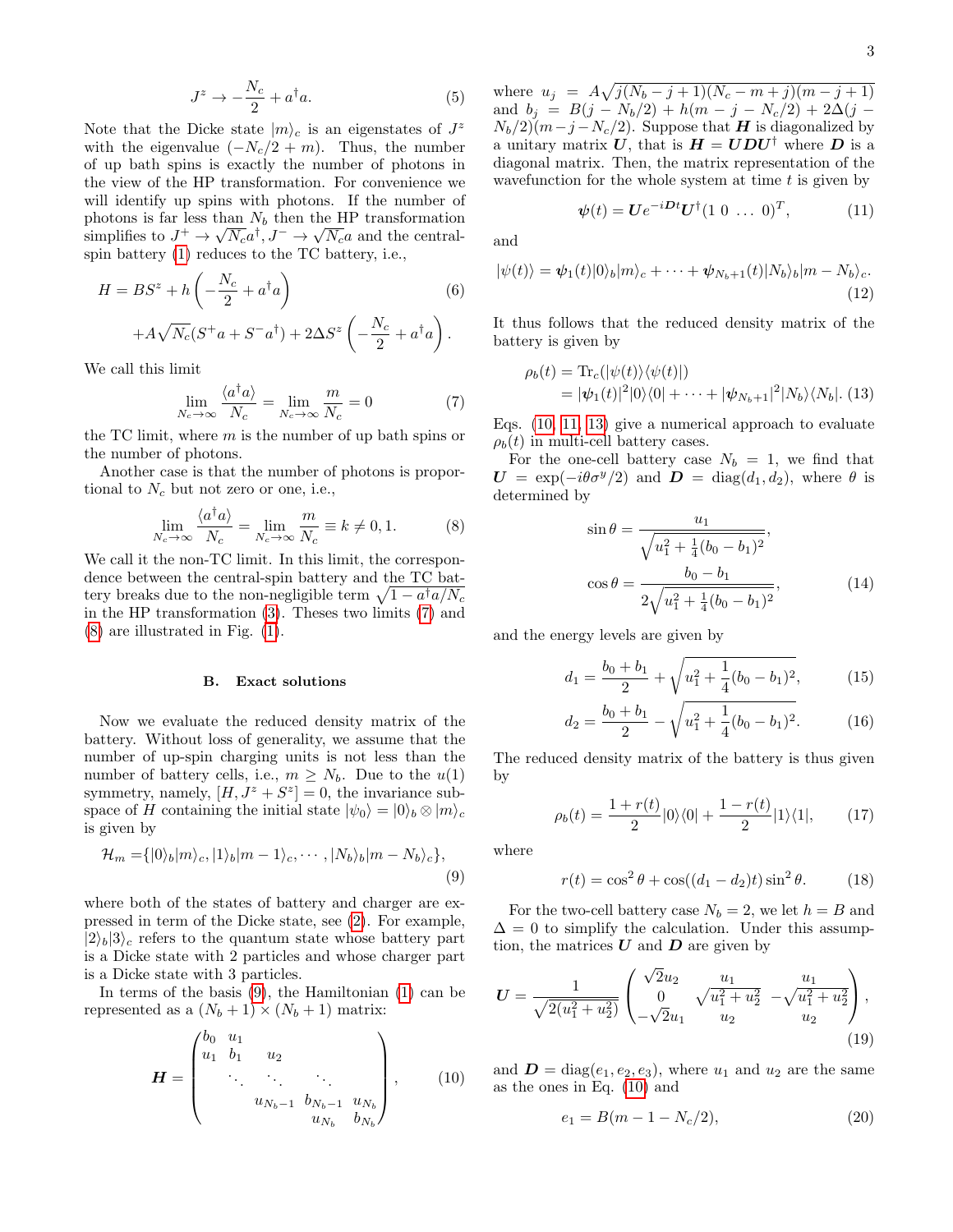$$
J^z \to -\frac{N_c}{2} + a^\dagger a. \tag{5}
$$

Note that the Dicke state  $|m\rangle_c$  is an eigenstates of  $J^z$ with the eigenvalue  $(-N_c/2 + m)$ . Thus, the number of up bath spins is exactly the number of photons in the view of the HP transformation. For convenience we will identify up spins with photons. If the number of photons is far less than  $N_b$  then the HP transformation simplifies to  $J^+ \to \sqrt{N_c} a^{\dagger}, J^- \to \sqrt{N_c} a$  and the centralspin battery [\(1\)](#page-1-2) reduces to the TC battery, i.e.,

$$
H = BSz + h\left(-\frac{N_c}{2} + a^{\dagger}a\right)
$$
  
+  $A\sqrt{N_c}(S^+a + S^-a^{\dagger}) + 2\Delta S^z \left(-\frac{N_c}{2} + a^{\dagger}a\right)$ . (6)

We call this limit

<span id="page-2-0"></span>
$$
\lim_{N_c \to \infty} \frac{\langle a^\dagger a \rangle}{N_c} = \lim_{N_c \to \infty} \frac{m}{N_c} = 0 \tag{7}
$$

the TC limit, where  $m$  is the number of up bath spins or the number of photons.

Another case is that the number of photons is proportional to  $N_c$  but not zero or one, i.e.,

<span id="page-2-1"></span>
$$
\lim_{N_c \to \infty} \frac{\langle a^\dagger a \rangle}{N_c} = \lim_{N_c \to \infty} \frac{m}{N_c} \equiv k \neq 0, 1. \tag{8}
$$

We call it the non-TC limit. In this limit, the correspondence between the central-spin battery and the TC battery breaks due to the non-negligible term  $\sqrt{1 - a^{\dagger} a/N_c}$ in the HP transformation [\(3\)](#page-1-3). Theses two limits [\(7\)](#page-2-0) and [\(8\)](#page-2-1) are illustrated in Fig. [\(1\)](#page-1-0).

#### B. Exact solutions

Now we evaluate the reduced density matrix of the battery. Without loss of generality, we assume that the number of up-spin charging units is not less than the number of battery cells, i.e.,  $m \geq N_b$ . Due to the  $u(1)$ symmetry, namely,  $[H, J^z + S^z] = 0$ , the invariance subspace of H containing the initial state  $|\psi_0\rangle = |0\rangle_b \otimes |m\rangle_c$ is given by

<span id="page-2-2"></span>
$$
\mathcal{H}_m = \{|0\rangle_b|m\rangle_c, |1\rangle_b|m-1\rangle_c, \cdots, |N_b\rangle_b|m-N_b\rangle_c\},\tag{9}
$$

where both of the states of battery and charger are expressed in term of the Dicke state, see [\(2\)](#page-1-4). For example,  $|2\rangle_b|3\rangle_c$  refers to the quantum state whose battery part is a Dicke state with 2 particles and whose charger part is a Dicke state with 3 particles.

In terms of the basis [\(9\)](#page-2-2), the Hamiltonian [\(1\)](#page-1-2) can be represented as a  $(N_b + 1) \times (N_b + 1)$  matrix:

<span id="page-2-3"></span>
$$
\boldsymbol{H} = \begin{pmatrix} b_0 & u_1 & & & \\ u_1 & b_1 & u_2 & & \\ & \ddots & \ddots & \ddots & \\ & & u_{N_b-1} & b_{N_b-1} & u_{N_b} \\ & & & u_{N_b} & b_{N_b} \end{pmatrix}, \qquad (10)
$$

where  $u_j = A \sqrt{j(N_b - j + 1)(N_c - m + j)(m - j + 1)}$ and  $b_j = B(j - N_b/2) + h(m - j - N_c/2) + 2\Delta(j - j)$  $N_b/2(m-j-N_c/2)$ . Suppose that **H** is diagonalized by a unitary matrix U, that is  $H = UDU^{\dagger}$  where D is a diagonal matrix. Then, the matrix representation of the wavefunction for the whole system at time  $t$  is given by

<span id="page-2-4"></span>
$$
\boldsymbol{\psi}(t) = \boldsymbol{U} e^{-i\boldsymbol{D}t} \boldsymbol{U}^{\dagger} (1 \ 0 \ \dots \ 0)^{T}, \tag{11}
$$

and

$$
|\psi(t)\rangle = \psi_1(t)|0\rangle_b|m\rangle_c + \cdots + \psi_{N_b+1}(t)|N_b\rangle_b|m - N_b\rangle_c.
$$
\n(12)

It thus follows that the reduced density matrix of the battery is given by

<span id="page-2-5"></span>
$$
\rho_b(t) = \text{Tr}_c(|\psi(t)\rangle\langle\psi(t)|)
$$
  
=  $|\psi_1(t)|^2|0\rangle\langle0| + \cdots + |\psi_{N_b+1}|^2|N_b\rangle\langle N_b|.$  (13)

Eqs. [\(10,](#page-2-3) [11,](#page-2-4) [13\)](#page-2-5) give a numerical approach to evaluate  $\rho_b(t)$  in multi-cell battery cases.

For the one-cell battery case  $N_b = 1$ , we find that  $U = \exp(-i\theta \sigma^y/2)$  and  $D = \text{diag}(d_1, d_2)$ , where  $\theta$  is determined by

<span id="page-2-7"></span>
$$
\sin \theta = \frac{u_1}{\sqrt{u_1^2 + \frac{1}{4}(b_0 - b_1)^2}},
$$

$$
\cos \theta = \frac{b_0 - b_1}{2\sqrt{u_1^2 + \frac{1}{4}(b_0 - b_1)^2}},
$$
(14)

and the energy levels are given by

$$
d_1 = \frac{b_0 + b_1}{2} + \sqrt{u_1^2 + \frac{1}{4}(b_0 - b_1)^2},
$$
 (15)

$$
d_2 = \frac{b_0 + b_1}{2} - \sqrt{u_1^2 + \frac{1}{4}(b_0 - b_1)^2}.
$$
 (16)

The reduced density matrix of the battery is thus given by

$$
\rho_b(t) = \frac{1 + r(t)}{2} |0\rangle\langle 0| + \frac{1 - r(t)}{2} |1\rangle\langle 1|, \qquad (17)
$$

where

<span id="page-2-6"></span>
$$
r(t) = \cos^2 \theta + \cos((d_1 - d_2)t)\sin^2 \theta.
$$
 (18)

For the two-cell battery case  $N_b = 2$ , we let  $h = B$  and  $\Delta = 0$  to simplify the calculation. Under this assumption, the matrices  $U$  and  $D$  are given by

$$
U = \frac{1}{\sqrt{2(u_1^2 + u_2^2)}} \begin{pmatrix} \sqrt{2}u_2 & u_1 & u_1 \\ 0 & \sqrt{u_1^2 + u_2^2} & -\sqrt{u_1^2 + u_2^2} \\ -\sqrt{2}u_1 & u_2 & u_2 \end{pmatrix},
$$
\n(19)

and  $\mathbf{D} = \text{diag}(e_1, e_2, e_3)$ , where  $u_1$  and  $u_2$  are the same as the ones in Eq. [\(10\)](#page-2-3) and

$$
e_1 = B(m - 1 - N_c/2),\tag{20}
$$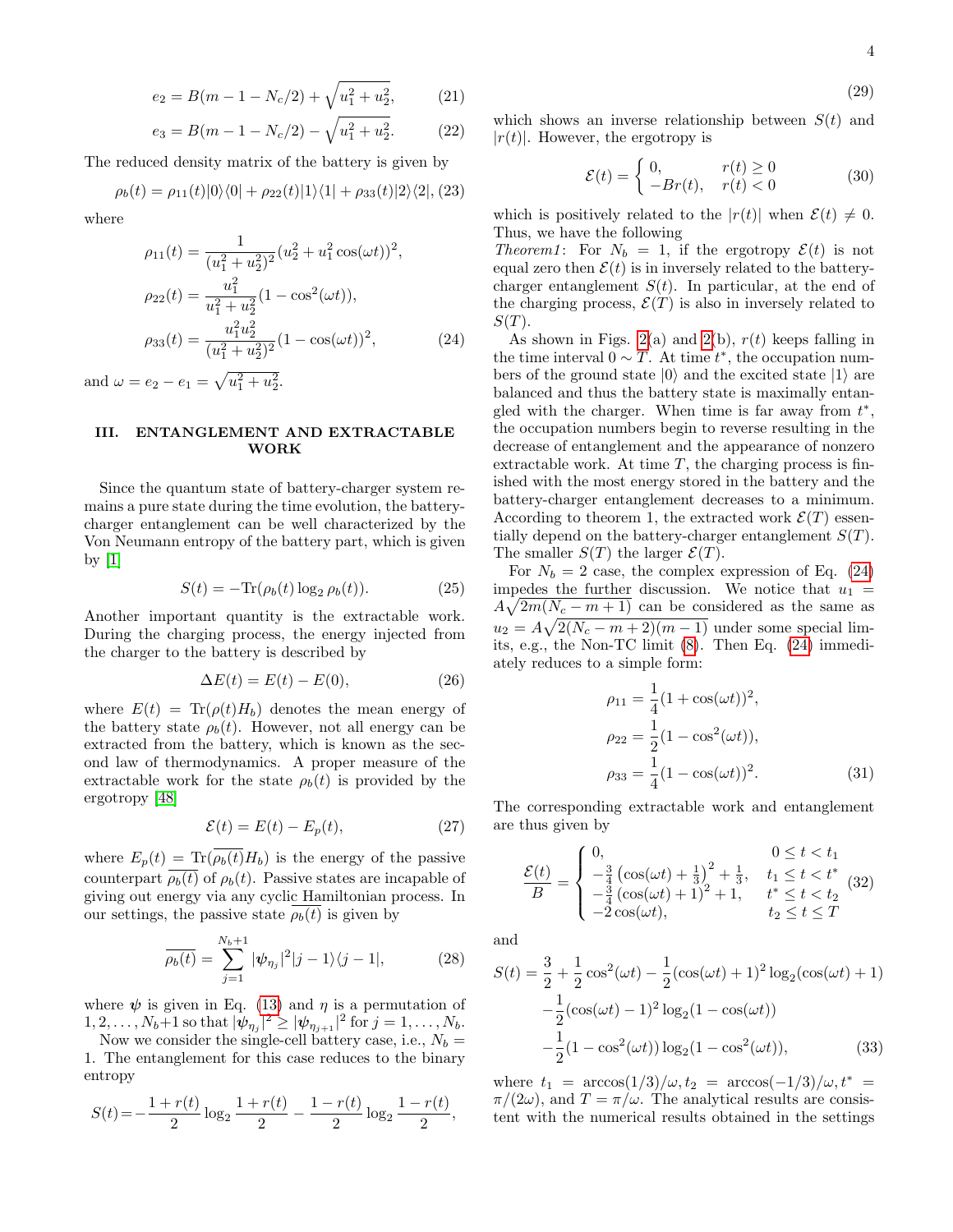$$
4\phantom{1}
$$

$$
(29)
$$

$$
e_2 = B(m - 1 - N_c/2) + \sqrt{u_1^2 + u_2^2},
$$
 (21)

$$
e_3 = B(m - 1 - N_c/2) - \sqrt{u_1^2 + u_2^2}.
$$
 (22)

The reduced density matrix of the battery is given by

$$
\rho_b(t) = \rho_{11}(t)|0\rangle\langle 0| + \rho_{22}(t)|1\rangle\langle 1| + \rho_{33}(t)|2\rangle\langle 2|, (23)
$$

where

<span id="page-3-1"></span>
$$
\rho_{11}(t) = \frac{1}{(u_1^2 + u_2^2)^2} (u_2^2 + u_1^2 \cos(\omega t))^2,
$$
  
\n
$$
\rho_{22}(t) = \frac{u_1^2}{u_1^2 + u_2^2} (1 - \cos^2(\omega t)),
$$
  
\n
$$
\rho_{33}(t) = \frac{u_1^2 u_2^2}{(u_1^2 + u_2^2)^2} (1 - \cos(\omega t))^2,
$$
\n(24)

and  $\omega = e_2 - e_1 = \sqrt{u_1^2 + u_2^2}$ .

# <span id="page-3-0"></span>III. ENTANGLEMENT AND EXTRACTABLE WORK

Since the quantum state of battery-charger system remains a pure state during the time evolution, the batterycharger entanglement can be well characterized by the Von Neumann entropy of the battery part, which is given by  $[1]$ 

$$
S(t) = -\text{Tr}(\rho_b(t) \log_2 \rho_b(t)).
$$
\n(25)

Another important quantity is the extractable work. During the charging process, the energy injected from the charger to the battery is described by

<span id="page-3-2"></span>
$$
\Delta E(t) = E(t) - E(0),\tag{26}
$$

where  $E(t) = Tr(\rho(t)H_b)$  denotes the mean energy of the battery state  $\rho_h(t)$ . However, not all energy can be extracted from the battery, which is known as the second law of thermodynamics. A proper measure of the extractable work for the state  $\rho_b(t)$  is provided by the ergotropy [\[48\]](#page-7-15)

<span id="page-3-3"></span>
$$
\mathcal{E}(t) = E(t) - E_p(t),\tag{27}
$$

where  $E_p(t) = \text{Tr}(\rho_b(t)H_b)$  is the energy of the passive counterpart  $\rho_b(t)$  of  $\rho_b(t)$ . Passive states are incapable of giving out energy via any cyclic Hamiltonian process. In our settings, the passive state  $\rho_b(t)$  is given by

$$
\overline{\rho_b(t)} = \sum_{j=1}^{N_b+1} |\psi_{\eta_j}|^2 |j-1\rangle\langle j-1|, \tag{28}
$$

where  $\psi$  is given in Eq. [\(13\)](#page-2-5) and  $\eta$  is a permutation of  $1, 2, \ldots, N_b+1$  so that  $|\psi_{\eta_j}|^2 \geq |\psi_{\eta_{j+1}}|^2$  for  $j = 1, \ldots, N_b$ .

Now we consider the single-cell battery case, i.e.,  $N_b =$ 1. The entanglement for this case reduces to the binary entropy

<span id="page-3-5"></span>
$$
S(t)\!=\!-\frac{1+r(t)}{2}\log_2\frac{1+r(t)}{2}-\frac{1-r(t)}{2}\log_2\frac{1-r(t)}{2},
$$

which shows an inverse relationship between  $S(t)$  and  $|r(t)|$ . However, the ergotropy is

<span id="page-3-4"></span>
$$
\mathcal{E}(t) = \begin{cases} 0, & r(t) \ge 0 \\ -Br(t), & r(t) < 0 \end{cases}
$$
 (30)

which is positively related to the  $|r(t)|$  when  $\mathcal{E}(t) \neq 0$ . Thus, we have the following

Theorem1: For  $N_b = 1$ , if the ergotropy  $\mathcal{E}(t)$  is not equal zero then  $\mathcal{E}(t)$  is in inversely related to the batterycharger entanglement  $S(t)$ . In particular, at the end of the charging process,  $\mathcal{E}(T)$  is also in inversely related to  $S(T).$ 

As shown in Figs. [2\(](#page-4-1)a) and 2(b),  $r(t)$  keeps falling in the time interval  $0 \sim T$ . At time  $t^*$ , the occupation numbers of the ground state  $|0\rangle$  and the excited state  $|1\rangle$  are balanced and thus the battery state is maximally entangled with the charger. When time is far away from  $t^*$ , the occupation numbers begin to reverse resulting in the decrease of entanglement and the appearance of nonzero extractable work. At time  $T$ , the charging process is finished with the most energy stored in the battery and the battery-charger entanglement decreases to a minimum. According to theorem 1, the extracted work  $\mathcal{E}(T)$  essentially depend on the battery-charger entanglement  $S(T)$ . The smaller  $S(T)$  the larger  $\mathcal{E}(T)$ .

For  $N_b = 2$  case, the complex expression of Eq. [\(24\)](#page-3-1) impedes the further discussion. We notice that  $u_1 =$  $A\sqrt{2m(N_c-m+1)}$  can be considered as the same as  $u_2 = A\sqrt{2(N_c - m + 2)(m - 1)}$  under some special limits, e.g., the Non-TC limit [\(8\)](#page-2-1). Then Eq. [\(24\)](#page-3-1) immediately reduces to a simple form:

$$
\rho_{11} = \frac{1}{4} (1 + \cos(\omega t))^2,
$$
  
\n
$$
\rho_{22} = \frac{1}{2} (1 - \cos^2(\omega t)),
$$
  
\n
$$
\rho_{33} = \frac{1}{4} (1 - \cos(\omega t))^2.
$$
\n(31)

The corresponding extractable work and entanglement are thus given by

$$
\frac{\mathcal{E}(t)}{B} = \begin{cases}\n0, & 0 \le t < t_1 \\
-\frac{3}{4} \left( \cos(\omega t) + \frac{1}{3} \right)^2 + \frac{1}{3}, & t_1 \le t < t^* \\
-\frac{3}{4} \left( \cos(\omega t) + 1 \right)^2 + 1, & t^* \le t < t_2 \\
-2 \cos(\omega t), & t_2 \le t \le T\n\end{cases}
$$
\n(32)

and

<span id="page-3-6"></span>
$$
S(t) = \frac{3}{2} + \frac{1}{2}\cos^2(\omega t) - \frac{1}{2}(\cos(\omega t) + 1)^2 \log_2(\cos(\omega t) + 1)
$$

$$
-\frac{1}{2}(\cos(\omega t) - 1)^2 \log_2(1 - \cos(\omega t))
$$

$$
-\frac{1}{2}(1 - \cos^2(\omega t)) \log_2(1 - \cos^2(\omega t)),
$$
(33)

where  $t_1 = \arccos(1/3)/\omega, t_2 = \arccos(-1/3)/\omega, t^* =$  $\pi/(2\omega)$ , and  $T = \pi/\omega$ . The analytical results are consistent with the numerical results obtained in the settings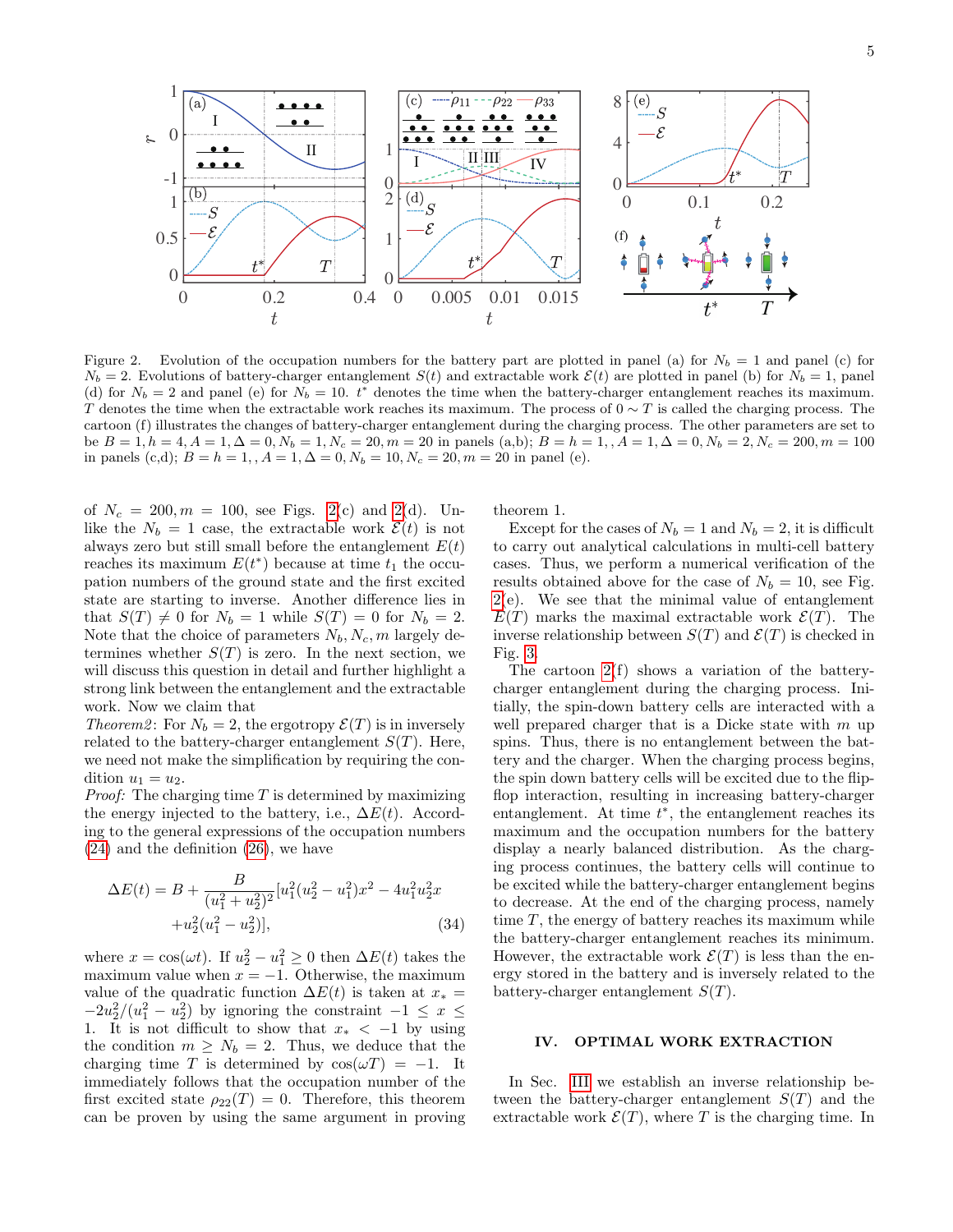

<span id="page-4-1"></span>Figure 2. Evolution of the occupation numbers for the battery part are plotted in panel (a) for  $N_b = 1$  and panel (c) for  $N_b = 2$ . Evolutions of battery-charger entanglement  $S(t)$  and extractable work  $\mathcal{E}(t)$  are plotted in panel (b) for  $N_b = 1$ , panel (d) for  $N_b = 2$  and panel (e) for  $N_b = 10$ .  $t^*$  denotes the time when the battery-charger entanglement reaches its maximum. T denotes the time when the extractable work reaches its maximum. The process of  $0 \sim T$  is called the charging process. The cartoon (f) illustrates the changes of battery-charger entanglement during the charging process. The other parameters are set to be  $B = 1, h = 4, A = 1, \Delta = 0, N_b = 1, N_c = 20, m = 20$  in panels (a,b);  $B = h = 1, A = 1, \Delta = 0, N_b = 2, N_c = 200, m = 100$ in panels (c,d);  $B = h = 1,$ ,  $A = 1, \Delta = 0, N_b = 10, N_c = 20, m = 20$  in panel (e).

of  $N_c = 200, m = 100$ , see Figs. [2\(](#page-4-1)c) and 2(d). Unlike the  $N_b = 1$  case, the extractable work  $\mathcal{E}(t)$  is not always zero but still small before the entanglement  $E(t)$ reaches its maximum  $E(t^*)$  because at time  $t_1$  the occupation numbers of the ground state and the first excited state are starting to inverse. Another difference lies in that  $S(T) \neq 0$  for  $N_b = 1$  while  $S(T) = 0$  for  $N_b = 2$ . Note that the choice of parameters  $N_b$ ,  $N_c$ , m largely determines whether  $S(T)$  is zero. In the next section, we will discuss this question in detail and further highlight a strong link between the entanglement and the extractable work. Now we claim that

Theorem2: For  $N_b = 2$ , the ergotropy  $\mathcal{E}(T)$  is in inversely related to the battery-charger entanglement  $S(T)$ . Here, we need not make the simplification by requiring the condition  $u_1 = u_2$ .

*Proof:* The charging time  $T$  is determined by maximizing the energy injected to the battery, i.e.,  $\Delta E(t)$ . According to the general expressions of the occupation numbers [\(24\)](#page-3-1) and the definition [\(26\)](#page-3-2), we have

$$
\Delta E(t) = B + \frac{B}{(u_1^2 + u_2^2)^2} [u_1^2 (u_2^2 - u_1^2) x^2 - 4u_1^2 u_2^2 x + u_2^2 (u_1^2 - u_2^2)],
$$
\n(34)

where  $x = \cos(\omega t)$ . If  $u_2^2 - u_1^2 \ge 0$  then  $\Delta E(t)$  takes the maximum value when  $x = -1$ . Otherwise, the maximum value of the quadratic function  $\Delta E(t)$  is taken at  $x_* =$  $-2u_2^2/(u_1^2-u_2^2)$  by ignoring the constraint  $-1 \leq x \leq$ 1. It is not difficult to show that  $x_* < -1$  by using the condition  $m \geq N_b = 2$ . Thus, we deduce that the charging time T is determined by  $\cos(\omega T) = -1$ . It immediately follows that the occupation number of the first excited state  $\rho_{22}(T) = 0$ . Therefore, this theorem can be proven by using the same argument in proving theorem 1.

Except for the cases of  $N_b = 1$  and  $N_b = 2$ , it is difficult to carry out analytical calculations in multi-cell battery cases. Thus, we perform a numerical verification of the results obtained above for the case of  $N_b = 10$ , see Fig. [2\(](#page-4-1)e). We see that the minimal value of entanglement  $E(T)$  marks the maximal extractable work  $\mathcal{E}(T)$ . The inverse relationship between  $S(T)$  and  $\mathcal{E}(T)$  is checked in Fig. [3.](#page-5-0)

The cartoon  $2(f)$  shows a variation of the batterycharger entanglement during the charging process. Initially, the spin-down battery cells are interacted with a well prepared charger that is a Dicke state with  $m$  up spins. Thus, there is no entanglement between the battery and the charger. When the charging process begins, the spin down battery cells will be excited due to the flipflop interaction, resulting in increasing battery-charger entanglement. At time  $t^*$ , the entanglement reaches its maximum and the occupation numbers for the battery display a nearly balanced distribution. As the charging process continues, the battery cells will continue to be excited while the battery-charger entanglement begins to decrease. At the end of the charging process, namely time  $T$ , the energy of battery reaches its maximum while the battery-charger entanglement reaches its minimum. However, the extractable work  $\mathcal{E}(T)$  is less than the energy stored in the battery and is inversely related to the battery-charger entanglement  $S(T)$ .

# <span id="page-4-0"></span>IV. OPTIMAL WORK EXTRACTION

In Sec. [III](#page-3-0) we establish an inverse relationship between the battery-charger entanglement  $S(T)$  and the extractable work  $\mathcal{E}(T)$ , where T is the charging time. In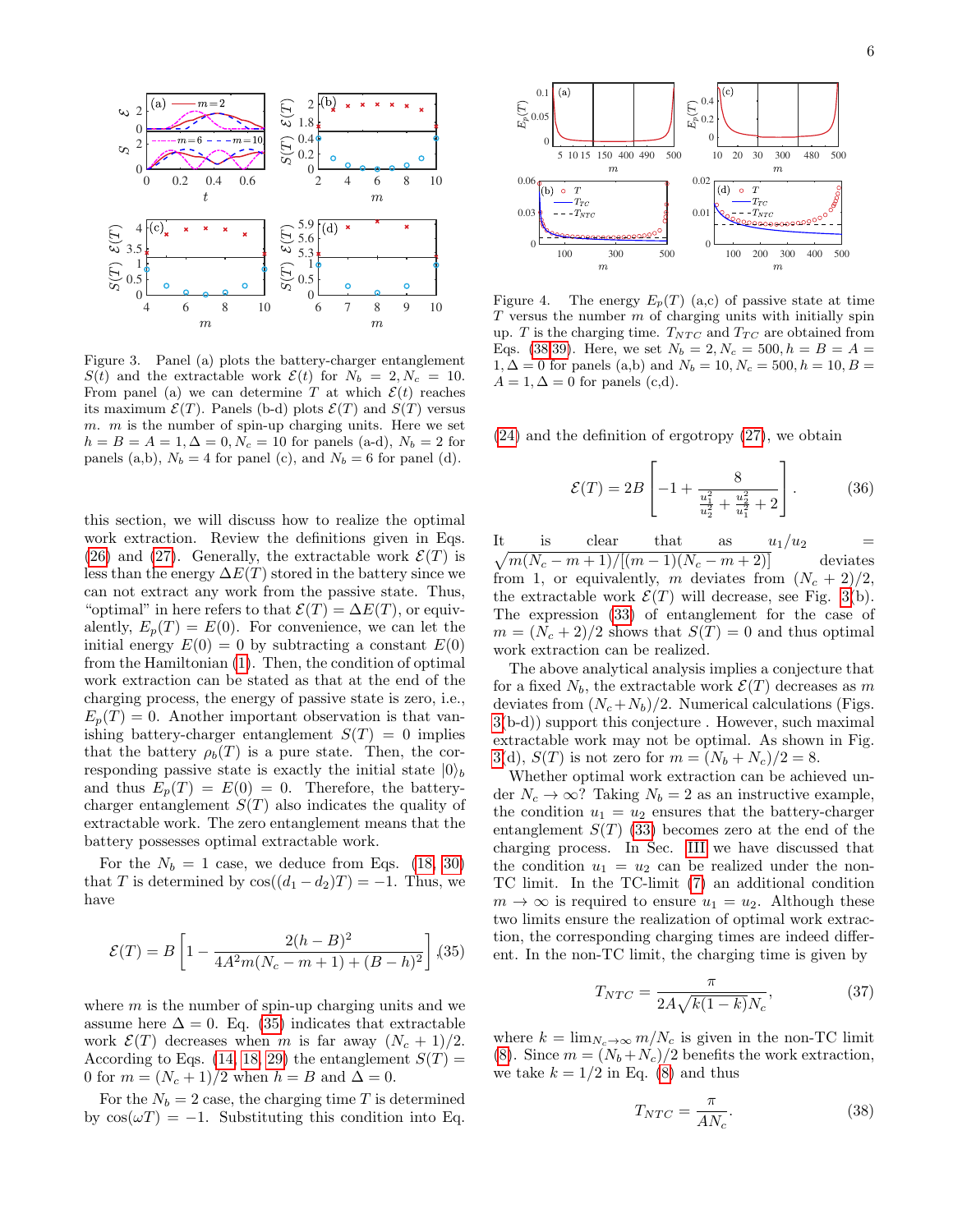

<span id="page-5-0"></span>Figure 3. Panel (a) plots the battery-charger entanglement  $S(t)$  and the extractable work  $\mathcal{E}(t)$  for  $N_b = 2, N_c = 10$ . From panel (a) we can determine T at which  $\mathcal{E}(t)$  reaches its maximum  $\mathcal{E}(T)$ . Panels (b-d) plots  $\mathcal{E}(T)$  and  $S(T)$  versus  $m.$  m is the number of spin-up charging units. Here we set  $h = B = A = 1, \Delta = 0, N_c = 10$  for panels (a-d),  $N_b = 2$  for panels (a,b),  $N_b = 4$  for panel (c), and  $N_b = 6$  for panel (d).

this section, we will discuss how to realize the optimal work extraction. Review the definitions given in Eqs. [\(26\)](#page-3-2) and [\(27\)](#page-3-3). Generally, the extractable work  $\mathcal{E}(T)$  is less than the energy  $\Delta E(T)$  stored in the battery since we can not extract any work from the passive state. Thus, "optimal" in here refers to that  $\mathcal{E}(T) = \Delta E(T)$ , or equivalently,  $E_n(T) = E(0)$ . For convenience, we can let the initial energy  $E(0) = 0$  by subtracting a constant  $E(0)$ from the Hamiltonian [\(1\)](#page-1-2). Then, the condition of optimal work extraction can be stated as that at the end of the charging process, the energy of passive state is zero, i.e.,  $E_p(T) = 0$ . Another important observation is that vanishing battery-charger entanglement  $S(T) = 0$  implies that the battery  $\rho_b(T)$  is a pure state. Then, the corresponding passive state is exactly the initial state  $|0\rangle_b$ and thus  $E_p(T) = E(0) = 0$ . Therefore, the batterycharger entanglement  $S(T)$  also indicates the quality of extractable work. The zero entanglement means that the battery possesses optimal extractable work.

For the  $N_b = 1$  case, we deduce from Eqs. [\(18,](#page-2-6) [30\)](#page-3-4) that T is determined by  $\cos((d_1 - d_2)T) = -1$ . Thus, we have

<span id="page-5-1"></span>
$$
\mathcal{E}(T) = B \left[ 1 - \frac{2(h - B)^2}{4A^2 m (N_c - m + 1) + (B - h)^2} \right], (35)
$$

where  $m$  is the number of spin-up charging units and we assume here  $\Delta = 0$ . Eq. [\(35\)](#page-5-1) indicates that extractable work  $\mathcal{E}(T)$  decreases when m is far away  $(N_c + 1)/2$ . According to Eqs. [\(14,](#page-2-7) [18,](#page-2-6) [29\)](#page-3-5) the entanglement  $S(T)$  = 0 for  $m = (N_c + 1)/2$  when  $h = B$  and  $\Delta = 0$ .

For the  $N_b = 2$  case, the charging time T is determined by  $\cos(\omega T) = -1$ . Substituting this condition into Eq.



<span id="page-5-3"></span>Figure 4. The energy  $E_p(T)$  (a,c) of passive state at time  $T$  versus the number  $m$  of charging units with initially spin up. T is the charging time.  $T_{NTC}$  and  $T_{TC}$  are obtained from Eqs. [\(38](#page-5-2)[,39\)](#page-6-5). Here, we set  $N_b = 2, N_c = 500, h = B = A =$  $1, \Delta = 0$  for panels (a,b) and  $N_b = 10, N_c = 500, h = 10, B = 10$  $A = 1, \Delta = 0$  for panels (c,d).

[\(24\)](#page-3-1) and the definition of ergotropy [\(27\)](#page-3-3), we obtain

$$
\mathcal{E}(T) = 2B \left[ -1 + \frac{8}{\frac{u_1^2}{u_2^2} + \frac{u_2^2}{u_1^2} + 2} \right].
$$
 (36)

It is clear that as  $\sqrt{m(N_c - m + 1)/[(m - 1)(N_c - m + 2)]}$  deviates  $u_1/u_2$ from 1, or equivalently, m deviates from  $(N_c + 2)/2$ , the extractable work  $\mathcal{E}(T)$  will decrease, see Fig. [3\(](#page-5-0)b). The expression [\(33\)](#page-3-6) of entanglement for the case of  $m = (N_c + 2)/2$  shows that  $S(T) = 0$  and thus optimal work extraction can be realized.

The above analytical analysis implies a conjecture that for a fixed  $N_b$ , the extractable work  $\mathcal{E}(T)$  decreases as m deviates from  $(N_c+N_b)/2$ . Numerical calculations (Figs. [3\(](#page-5-0)b-d)) support this conjecture . However, such maximal extractable work may not be optimal. As shown in Fig. [3\(](#page-5-0)d),  $S(T)$  is not zero for  $m = (N_b + N_c)/2 = 8$ .

Whether optimal work extraction can be achieved under  $N_c \rightarrow \infty$ ? Taking  $N_b = 2$  as an instructive example, the condition  $u_1 = u_2$  ensures that the battery-charger entanglement  $S(T)$  [\(33\)](#page-3-6) becomes zero at the end of the charging process. In Sec. [III](#page-3-0) we have discussed that the condition  $u_1 = u_2$  can be realized under the non-TC limit. In the TC-limit [\(7\)](#page-2-0) an additional condition  $m \to \infty$  is required to ensure  $u_1 = u_2$ . Although these two limits ensure the realization of optimal work extraction, the corresponding charging times are indeed different. In the non-TC limit, the charging time is given by

$$
T_{NTC} = \frac{\pi}{2A\sqrt{k(1-k)}N_c},\tag{37}
$$

where  $k = \lim_{N_c \to \infty} m/N_c$  is given in the non-TC limit [\(8\)](#page-2-1). Since  $m = (N_b + N_c)/2$  benefits the work extraction, we take  $k = 1/2$  in Eq. [\(8\)](#page-2-1) and thus

<span id="page-5-2"></span>
$$
T_{NTC} = \frac{\pi}{AN_c}.\tag{38}
$$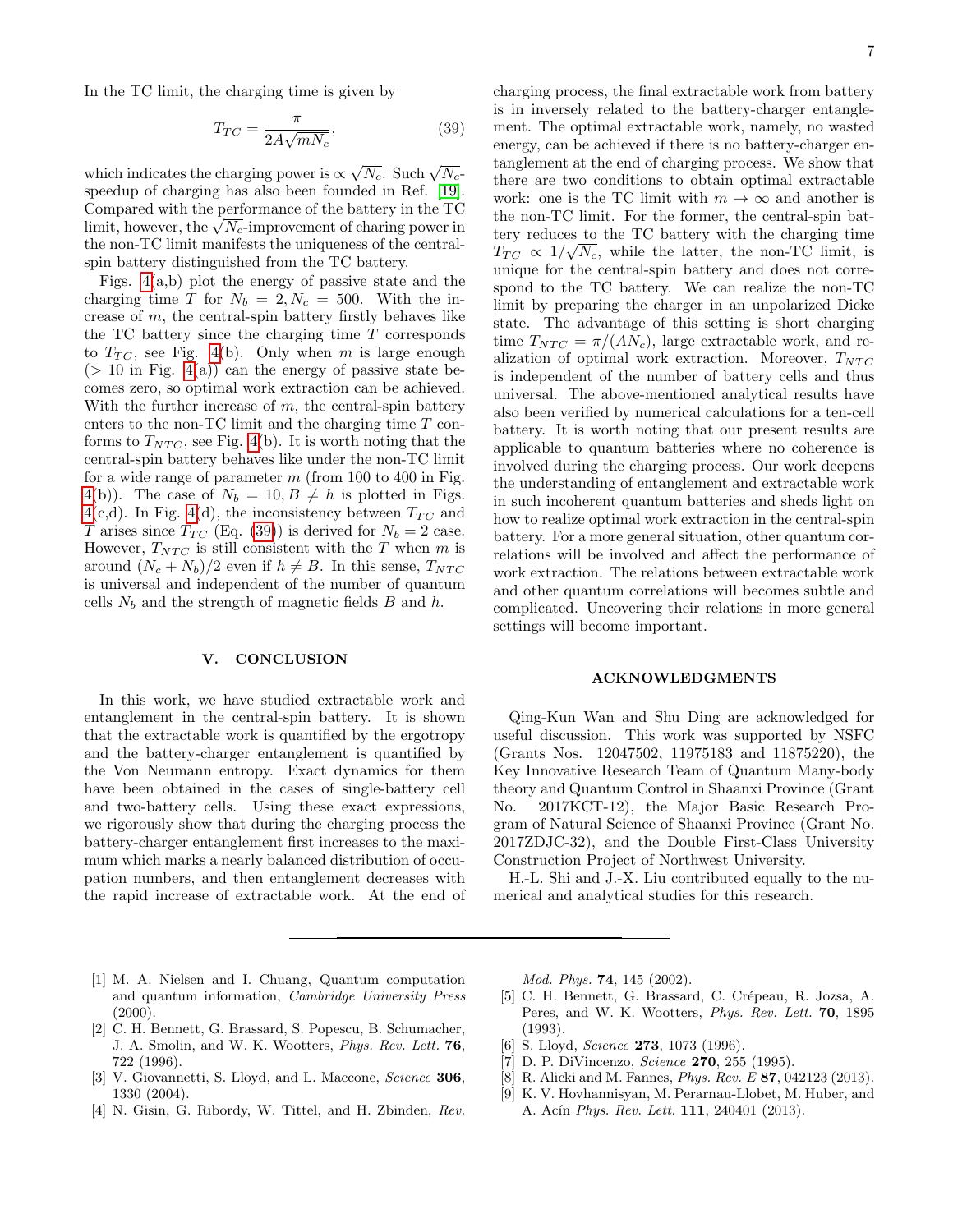In the TC limit, the charging time is given by

<span id="page-6-5"></span>
$$
T_{TC} = \frac{\pi}{2A\sqrt{mN_c}},\tag{39}
$$

which indicates the charging power is  $\propto \sqrt{N_c}$ . Such  $\sqrt{N_c}$ speedup of charging has also been founded in Ref. [\[19\]](#page-7-13). Compared with the performance of the battery in the TC Compared with the performance of the battery in the  $1C$ <br>limit, however, the  $\sqrt{N_c}$ -improvement of charing power in the non-TC limit manifests the uniqueness of the centralspin battery distinguished from the TC battery.

Figs.  $4(a,b)$  plot the energy of passive state and the charging time T for  $N_b = 2, N_c = 500$ . With the increase of m, the central-spin battery firstly behaves like the TC battery since the charging time  $T$  corresponds to  $T_{TC}$ , see Fig. [4\(](#page-5-3)b). Only when m is large enough  $(> 10$  in Fig.  $4(a)$  can the energy of passive state becomes zero, so optimal work extraction can be achieved. With the further increase of  $m$ , the central-spin battery enters to the non-TC limit and the charging time T conforms to  $T_{NTC}$ , see Fig. [4\(](#page-5-3)b). It is worth noting that the central-spin battery behaves like under the non-TC limit for a wide range of parameter  $m$  (from 100 to 400 in Fig. [4\(](#page-5-3)b)). The case of  $N_b = 10, B \neq h$  is plotted in Figs. [4\(](#page-5-3)c,d). In Fig. [4\(](#page-5-3)d), the inconsistency between  $T_{TC}$  and T arises since  $T_{TC}$  (Eq. [\(39\)](#page-6-5)) is derived for  $N_b = 2$  case. However,  $T_{NTC}$  is still consistent with the T when m is around  $(N_c + N_b)/2$  even if  $h \neq B$ . In this sense,  $T_{NTC}$ is universal and independent of the number of quantum cells  $N_b$  and the strength of magnetic fields B and h.

#### <span id="page-6-4"></span>V. CONCLUSION

In this work, we have studied extractable work and entanglement in the central-spin battery. It is shown that the extractable work is quantified by the ergotropy and the battery-charger entanglement is quantified by the Von Neumann entropy. Exact dynamics for them have been obtained in the cases of single-battery cell and two-battery cells. Using these exact expressions, we rigorously show that during the charging process the battery-charger entanglement first increases to the maximum which marks a nearly balanced distribution of occupation numbers, and then entanglement decreases with the rapid increase of extractable work. At the end of

charging process, the final extractable work from battery is in inversely related to the battery-charger entanglement. The optimal extractable work, namely, no wasted energy, can be achieved if there is no battery-charger entanglement at the end of charging process. We show that there are two conditions to obtain optimal extractable work: one is the TC limit with  $m \to \infty$  and another is the non-TC limit. For the former, the central-spin battery reduces to the TC battery with the charging time  $T_{TC} \propto 1/\sqrt{N_c}$ , while the latter, the non-TC limit, is unique for the central-spin battery and does not correspond to the TC battery. We can realize the non-TC limit by preparing the charger in an unpolarized Dicke state. The advantage of this setting is short charging time  $T_{NTC} = \pi/(AN_c)$ , large extractable work, and realization of optimal work extraction. Moreover,  $T_{NTC}$ is independent of the number of battery cells and thus universal. The above-mentioned analytical results have also been verified by numerical calculations for a ten-cell battery. It is worth noting that our present results are applicable to quantum batteries where no coherence is involved during the charging process. Our work deepens the understanding of entanglement and extractable work in such incoherent quantum batteries and sheds light on how to realize optimal work extraction in the central-spin battery. For a more general situation, other quantum correlations will be involved and affect the performance of work extraction. The relations between extractable work and other quantum correlations will becomes subtle and complicated. Uncovering their relations in more general settings will become important.

# ACKNOWLEDGMENTS

Qing-Kun Wan and Shu Ding are acknowledged for useful discussion. This work was supported by NSFC (Grants Nos. 12047502, 11975183 and 11875220), the Key Innovative Research Team of Quantum Many-body theory and Quantum Control in Shaanxi Province (Grant No. 2017KCT-12), the Major Basic Research Program of Natural Science of Shaanxi Province (Grant No. 2017ZDJC-32), and the Double First-Class University Construction Project of Northwest University.

H.-L. Shi and J.-X. Liu contributed equally to the numerical and analytical studies for this research.

- <span id="page-6-0"></span>[1] M. A. Nielsen and I. Chuang, Quantum computation and quantum information, Cambridge University Press  $(2000).$
- [2] C. H. Bennett, G. Brassard, S. Popescu, B. Schumacher, J. A. Smolin, and W. K. Wootters, Phys. Rev. Lett. 76, 722 (1996).
- [3] V. Giovannetti, S. Lloyd, and L. Maccone, Science 306, 1330 (2004).
- [4] N. Gisin, G. Ribordy, W. Tittel, and H. Zbinden, Rev.

Mod. Phys. 74, 145 (2002).

- [5] C. H. Bennett, G. Brassard, C. Crépeau, R. Jozsa, A. Peres, and W. K. Wootters, Phys. Rev. Lett. 70, 1895 (1993).
- [6] S. Lloyd, *Science* **273**, 1073 (1996).
- <span id="page-6-1"></span>[7] D. P. DiVincenzo, Science 270, 255 (1995).
- <span id="page-6-2"></span>[8] R. Alicki and M. Fannes, Phys. Rev. E 87, 042123 (2013).
- <span id="page-6-3"></span>[9] K. V. Hovhannisyan, M. Perarnau-Llobet, M. Huber, and A. Acín Phys. Rev. Lett. 111, 240401 (2013).